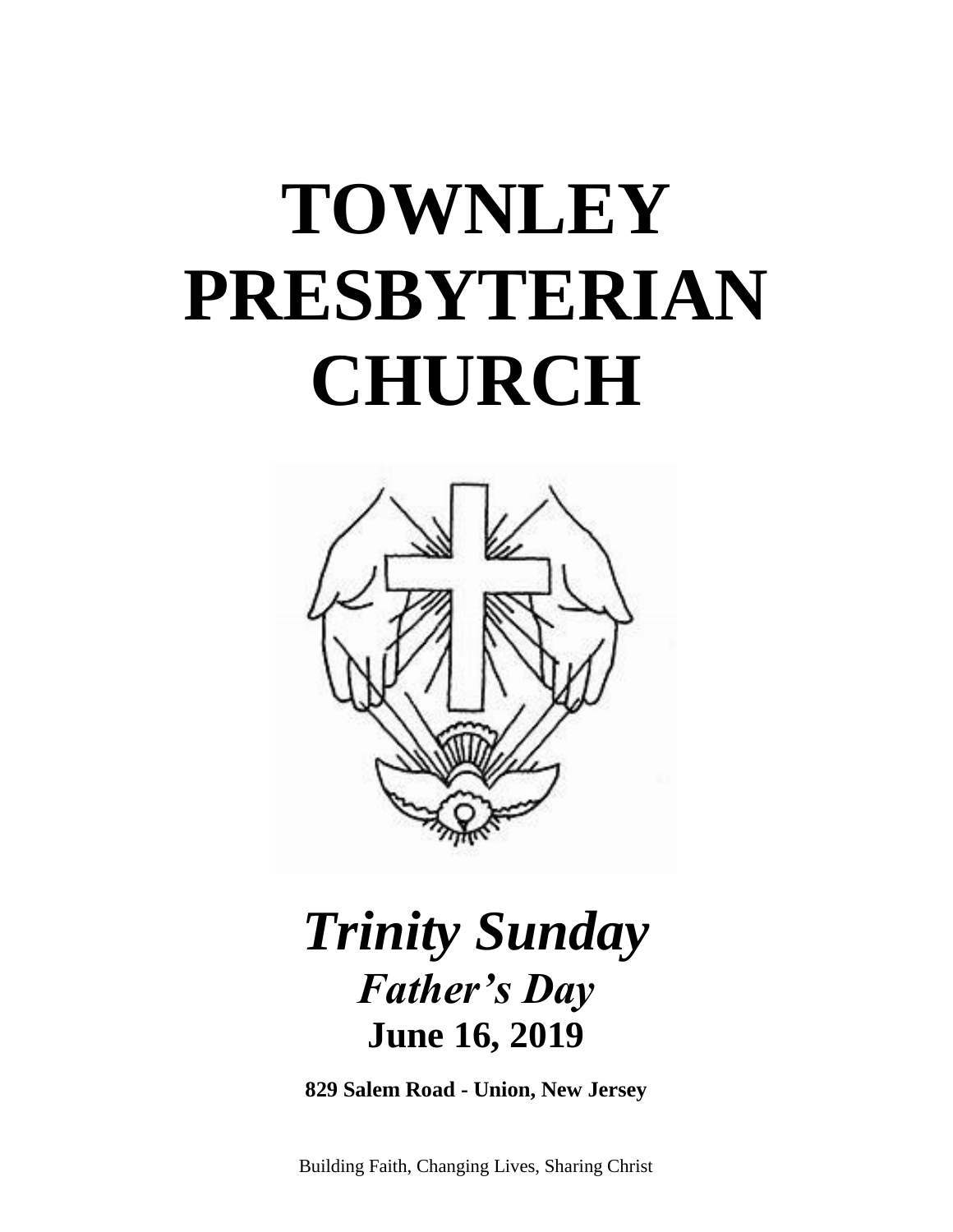# **TOWNLEY PRESBYTERIAN CHURCH**



## *Trinity Sunday Father's Day* **June 16, 2019**

**829 Salem Road - Union, New Jersey**

Building Faith, Changing Lives, Sharing Christ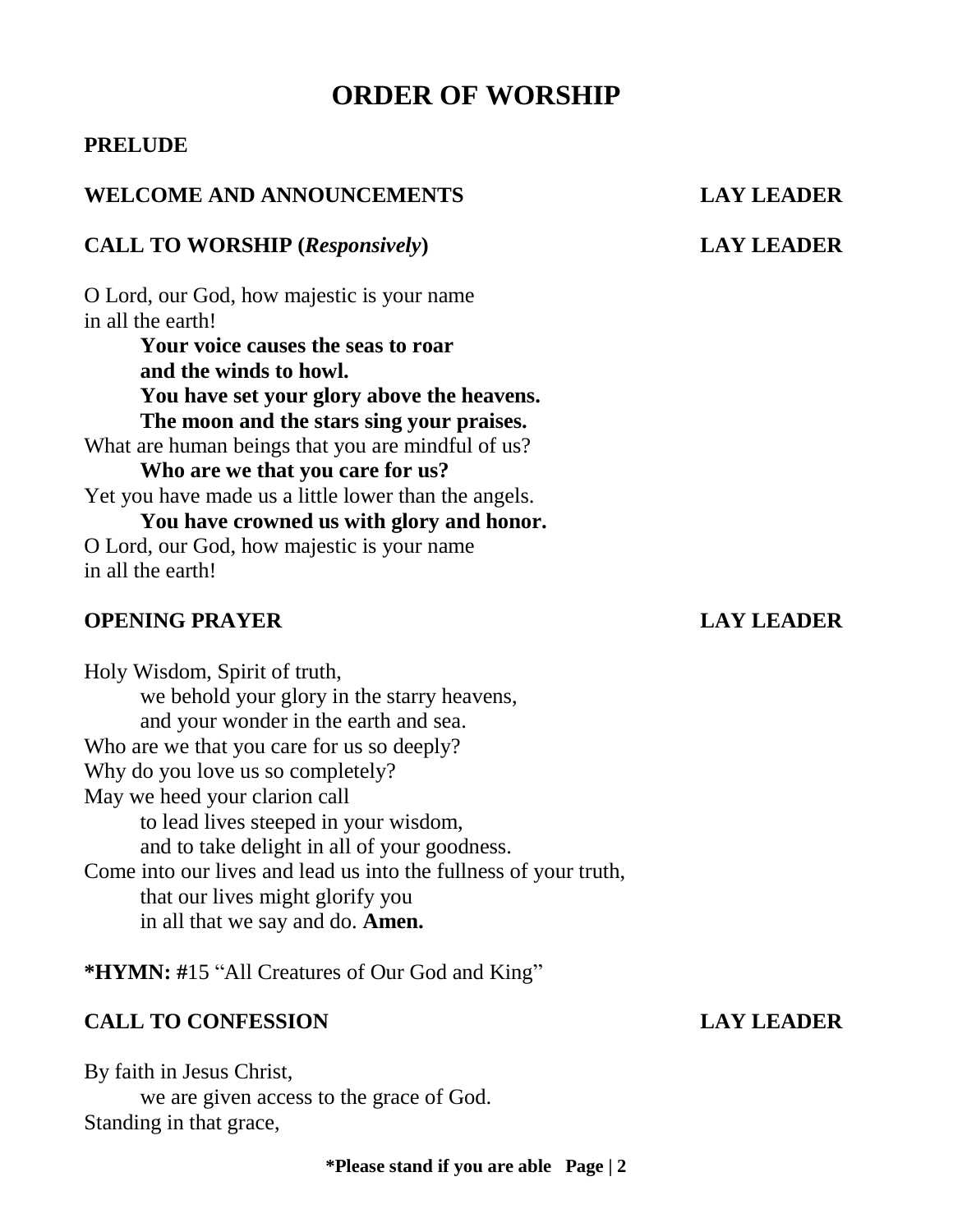### **ORDER OF WORSHIP**

### **PRELUDE**

### **WELCOME AND ANNOUNCEMENTS LAY LEADER**

#### **CALL TO WORSHIP (***Responsively***) LAY LEADER**

O Lord, our God, how majestic is your name in all the earth!

**Your voice causes the seas to roar and the winds to howl. You have set your glory above the heavens. The moon and the stars sing your praises.** 

What are human beings that you are mindful of us?

**Who are we that you care for us?**  Yet you have made us a little lower than the angels.

**You have crowned us with glory and honor.**  O Lord, our God, how majestic is your name in all the earth!

### **OPENING PRAYER LAY LEADER**

Holy Wisdom, Spirit of truth, we behold your glory in the starry heavens, and your wonder in the earth and sea. Who are we that you care for us so deeply? Why do you love us so completely? May we heed your clarion call to lead lives steeped in your wisdom, and to take delight in all of your goodness. Come into our lives and lead us into the fullness of your truth, that our lives might glorify you in all that we say and do. **Amen.**

**\*HYMN: #**15 "All Creatures of Our God and King"

#### **CALL TO CONFESSION LAY LEADER**

By faith in Jesus Christ, we are given access to the grace of God. Standing in that grace,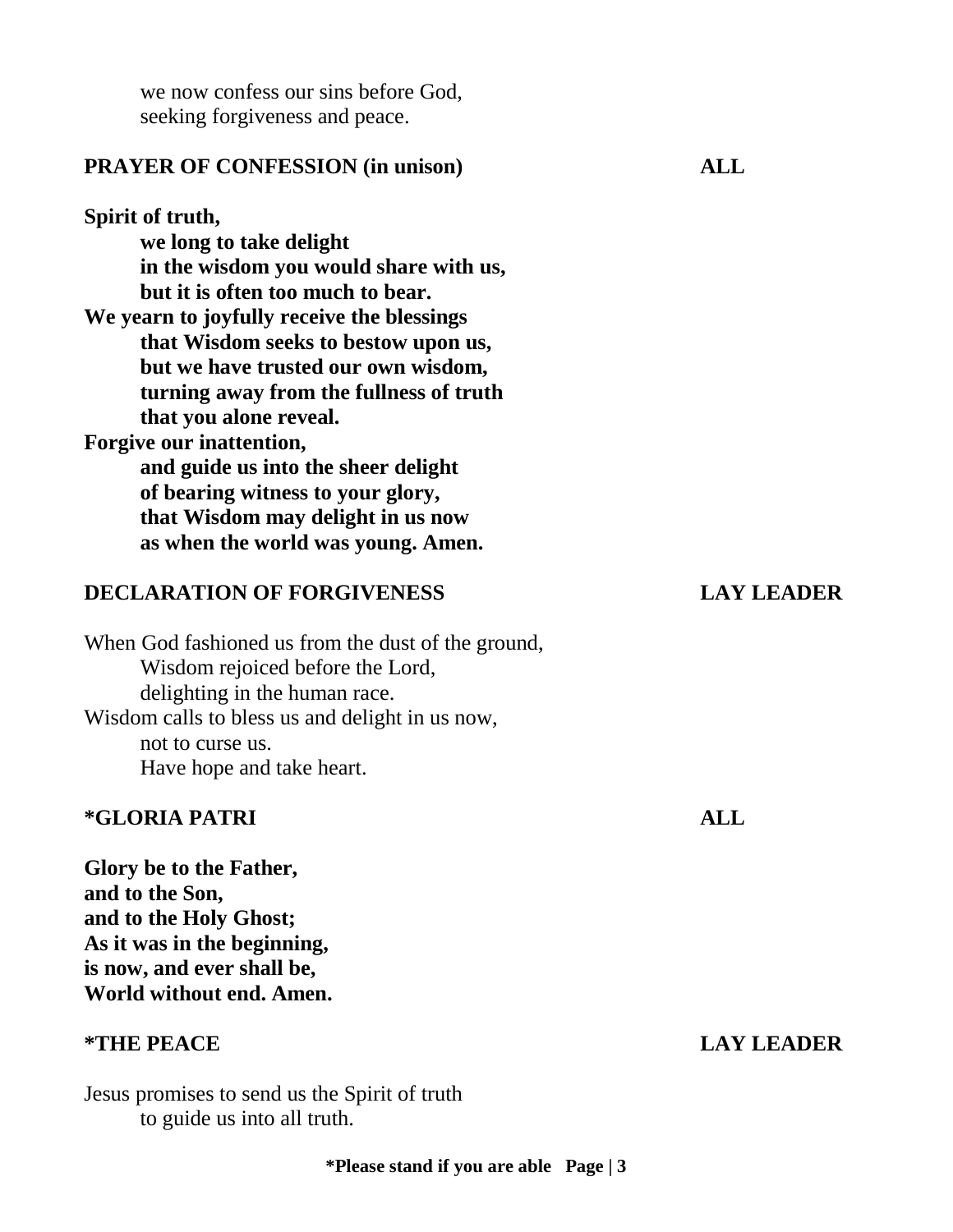we now confess our sins before God, seeking forgiveness and peace.

#### **PRAYER OF CONFESSION (in unison) ALL**

### **Spirit of truth, we long to take delight in the wisdom you would share with us, but it is often too much to bear. We yearn to joyfully receive the blessings that Wisdom seeks to bestow upon us, but we have trusted our own wisdom, turning away from the fullness of truth that you alone reveal. Forgive our inattention, and guide us into the sheer delight of bearing witness to your glory, that Wisdom may delight in us now as when the world was young. Amen.**

#### **DECLARATION OF FORGIVENESS LAY LEADER**

When God fashioned us from the dust of the ground, Wisdom rejoiced before the Lord, delighting in the human race. Wisdom calls to bless us and delight in us now, not to curse us. Have hope and take heart.

#### **\*GLORIA PATRI ALL**

**Glory be to the Father, and to the Son, and to the Holy Ghost; As it was in the beginning, is now, and ever shall be, World without end. Amen.**

#### **\*THE PEACE LAY LEADER**

Jesus promises to send us the Spirit of truth to guide us into all truth.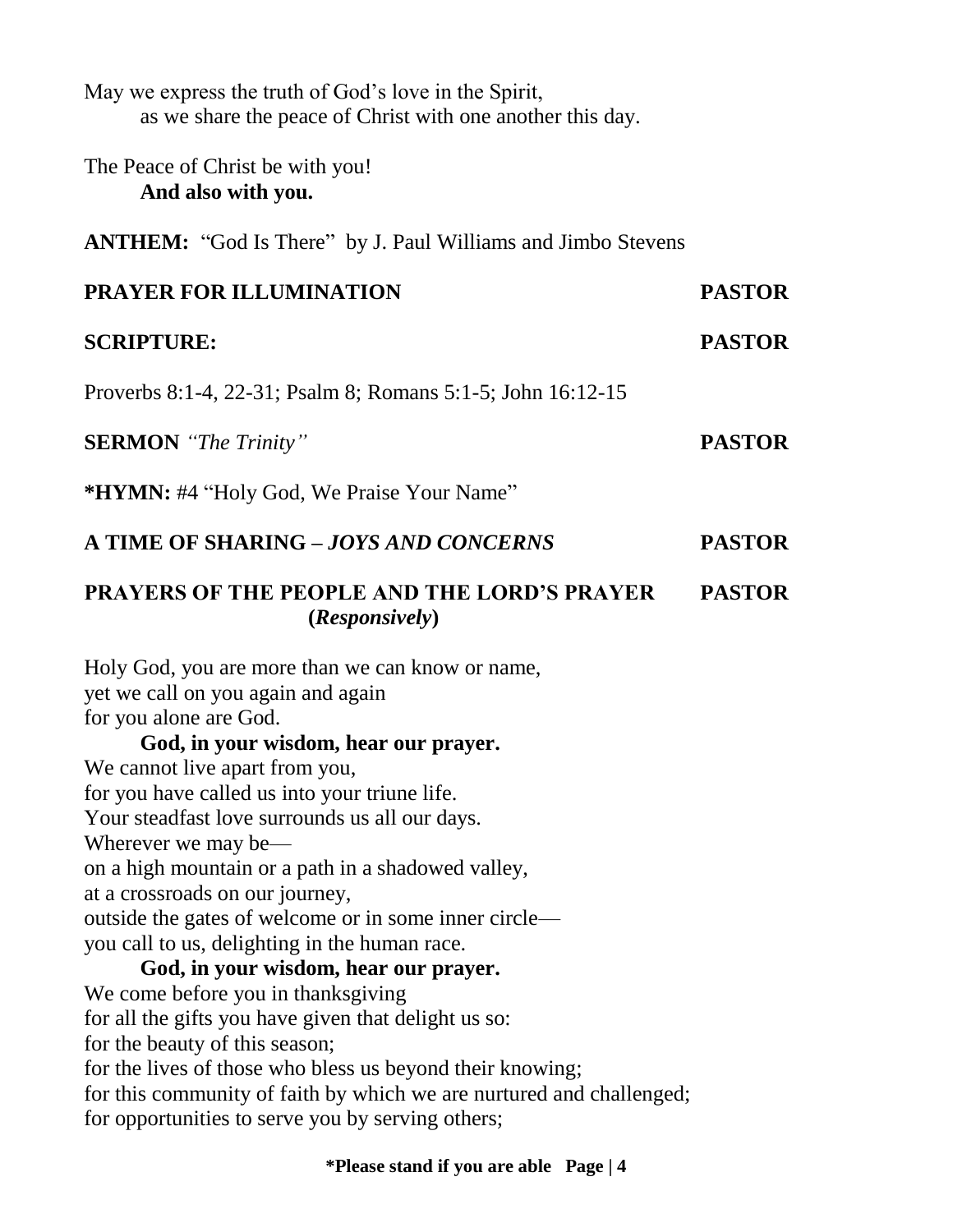| May we express the truth of God's love in the Spirit,<br>as we share the peace of Christ with one another this day.                                                   |               |
|-----------------------------------------------------------------------------------------------------------------------------------------------------------------------|---------------|
| The Peace of Christ be with you!<br>And also with you.                                                                                                                |               |
| <b>ANTHEM:</b> "God Is There" by J. Paul Williams and Jimbo Stevens                                                                                                   |               |
| <b>PRAYER FOR ILLUMINATION</b>                                                                                                                                        | <b>PASTOR</b> |
| <b>SCRIPTURE:</b>                                                                                                                                                     | <b>PASTOR</b> |
| Proverbs 8:1-4, 22-31; Psalm 8; Romans 5:1-5; John 16:12-15                                                                                                           |               |
| <b>SERMON</b> "The Trinity"                                                                                                                                           | <b>PASTOR</b> |
| <b>*HYMN:</b> #4 "Holy God, We Praise Your Name"                                                                                                                      |               |
| A TIME OF SHARING - JOYS AND CONCERNS                                                                                                                                 | <b>PASTOR</b> |
| <b>PRAYERS OF THE PEOPLE AND THE LORD'S PRAYER</b><br>(Responsively)                                                                                                  | <b>PASTOR</b> |
| Holy God, you are more than we can know or name,<br>yet we call on you again and again<br>for you alone are God.<br>God, in your wisdom, hear our prayer.             |               |
| We cannot live apart from you,<br>for you have called us into your triune life.<br>Your steadfast love surrounds us all our days.                                     |               |
| Wherever we may be—<br>on a high mountain or a path in a shadowed valley,<br>at a crossroads on our journey,<br>outside the gates of welcome or in some inner circle— |               |
| you call to us, delighting in the human race.<br>God, in your wisdom, hear our prayer.                                                                                |               |
| We come before you in thanksgiving                                                                                                                                    |               |
| for all the gifts you have given that delight us so:                                                                                                                  |               |
| for the beauty of this season;                                                                                                                                        |               |
| for the lives of those who bless us beyond their knowing;                                                                                                             |               |
| for this community of faith by which we are nurtured and challenged;                                                                                                  |               |
| for opportunities to serve you by serving others;                                                                                                                     |               |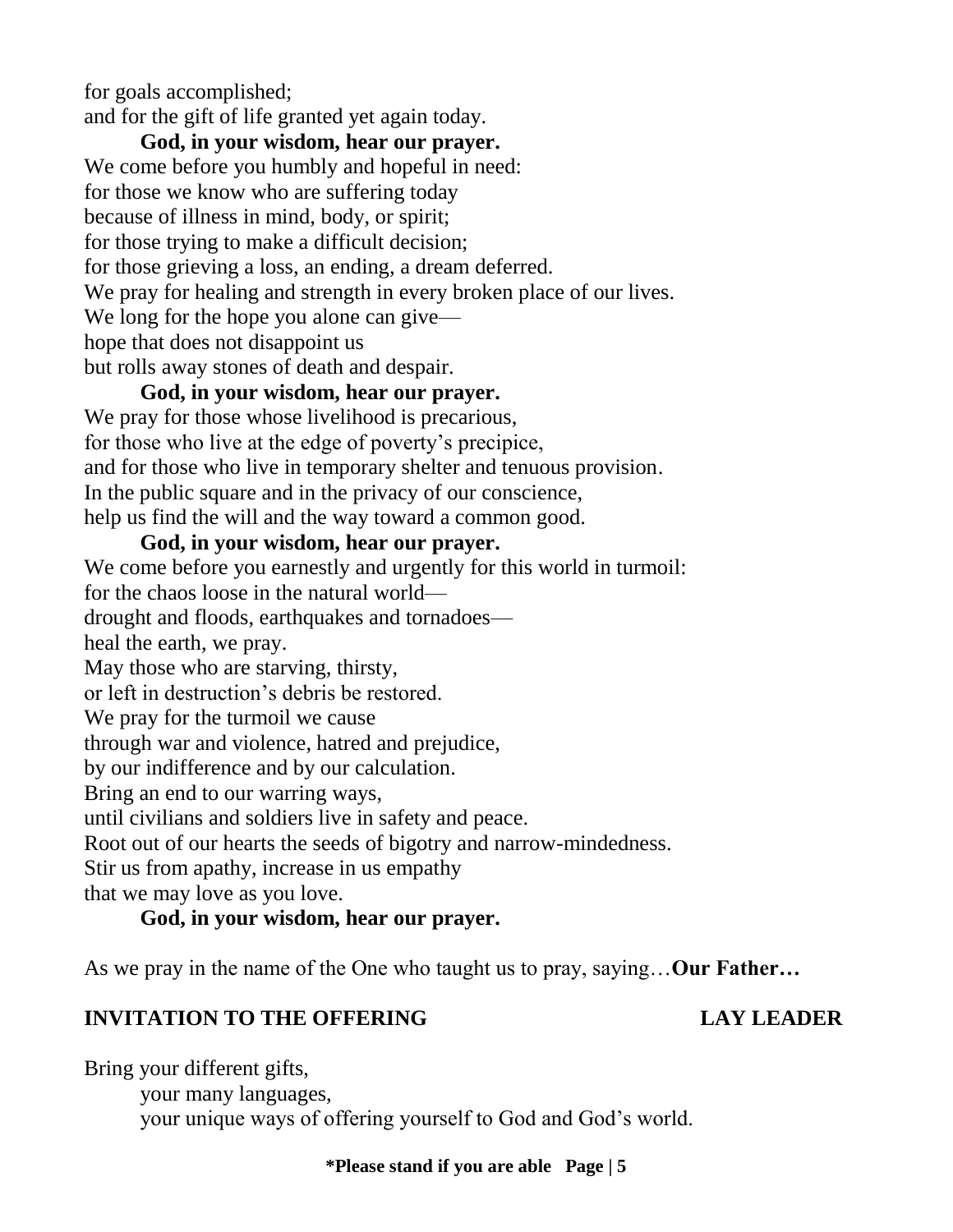for goals accomplished; and for the gift of life granted yet again today.

**God, in your wisdom, hear our prayer.**  We come before you humbly and hopeful in need: for those we know who are suffering today because of illness in mind, body, or spirit; for those trying to make a difficult decision; for those grieving a loss, an ending, a dream deferred. We pray for healing and strength in every broken place of our lives. We long for the hope you alone can give hope that does not disappoint us but rolls away stones of death and despair.

### **God, in your wisdom, hear our prayer.**

We pray for those whose livelihood is precarious, for those who live at the edge of poverty's precipice, and for those who live in temporary shelter and tenuous provision. In the public square and in the privacy of our conscience, help us find the will and the way toward a common good.

#### **God, in your wisdom, hear our prayer.**

We come before you earnestly and urgently for this world in turmoil: for the chaos loose in the natural world drought and floods, earthquakes and tornadoes heal the earth, we pray. May those who are starving, thirsty, or left in destruction's debris be restored. We pray for the turmoil we cause through war and violence, hatred and prejudice, by our indifference and by our calculation. Bring an end to our warring ways, until civilians and soldiers live in safety and peace. Root out of our hearts the seeds of bigotry and narrow-mindedness. Stir us from apathy, increase in us empathy that we may love as you love.

### **God, in your wisdom, hear our prayer.**

As we pray in the name of the One who taught us to pray, saying…**Our Father…**

### **INVITATION TO THE OFFERING LAY LEADER**

Bring your different gifts,

your many languages,

your unique ways of offering yourself to God and God's world.

#### **\*Please stand if you are able Page | 5**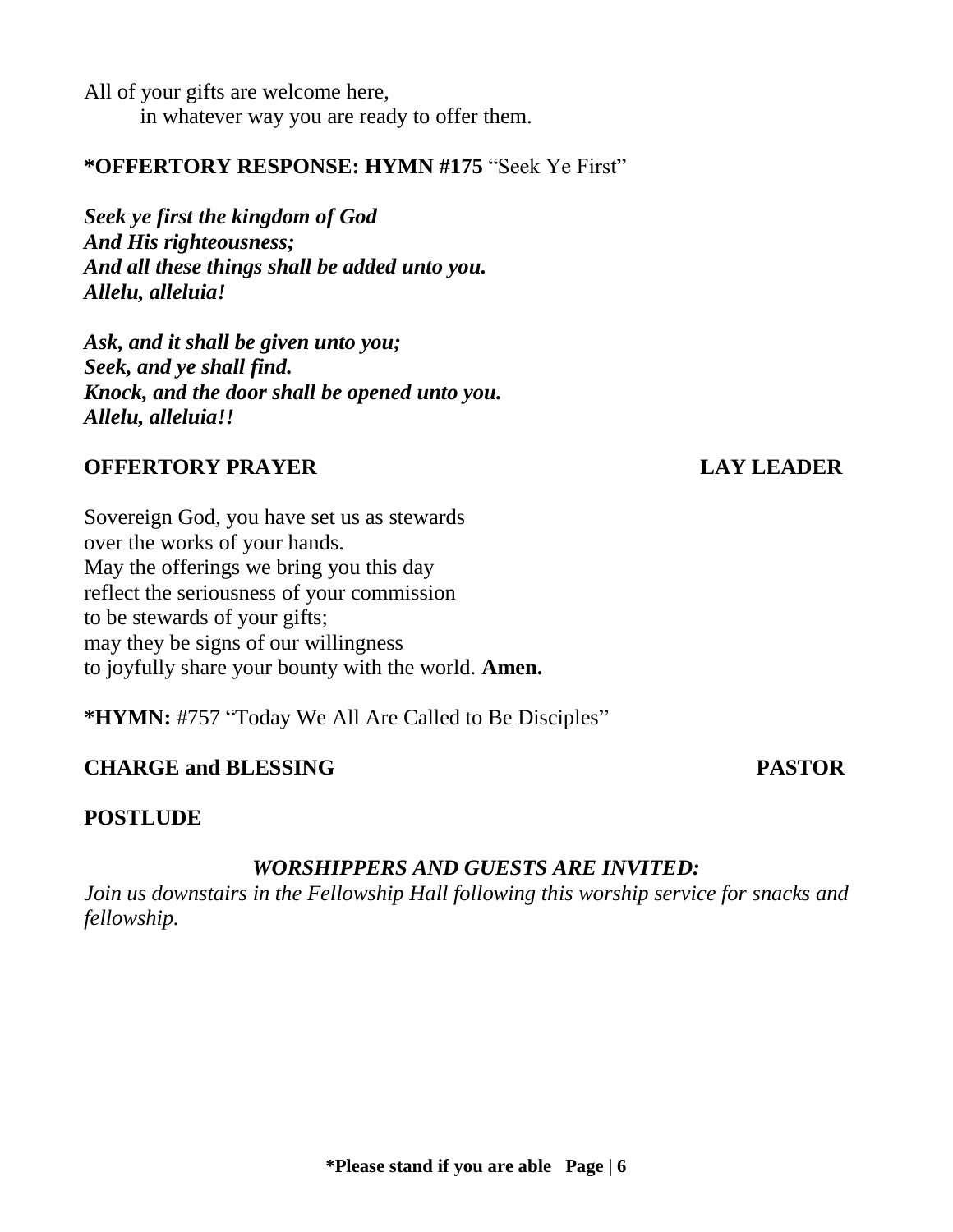All of your gifts are welcome here, in whatever way you are ready to offer them.

#### **\*OFFERTORY RESPONSE: HYMN #175** "Seek Ye First"

*Seek ye first the kingdom of God And His righteousness; And all these things shall be added unto you. Allelu, alleluia!*

*Ask, and it shall be given unto you; Seek, and ye shall find. Knock, and the door shall be opened unto you. Allelu, alleluia!!*

#### **OFFERTORY PRAYER LAY LEADER**

Sovereign God, you have set us as stewards over the works of your hands. May the offerings we bring you this day reflect the seriousness of your commission to be stewards of your gifts; may they be signs of our willingness to joyfully share your bounty with the world. **Amen.**

**\*HYMN:** #757 "Today We All Are Called to Be Disciples"

### **CHARGE and BLESSING PASTOR**

#### **POSTLUDE**

#### *WORSHIPPERS AND GUESTS ARE INVITED:*

*Join us downstairs in the Fellowship Hall following this worship service for snacks and fellowship.*